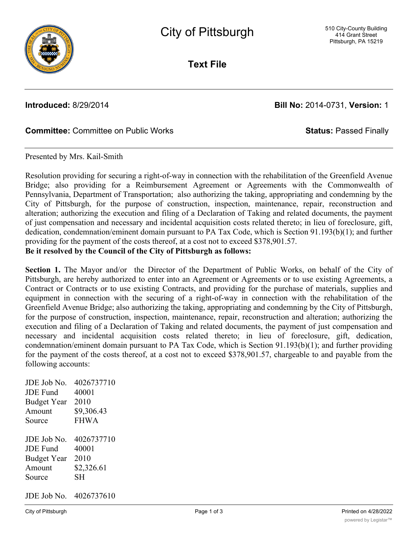

**Text File**

**Introduced:** 8/29/2014 **Bill No:** 2014-0731, **Version:** 1

### **Committee:** Committee on Public Works **Status:** Passed Finally

Presented by Mrs. Kail-Smith

Resolution providing for securing a right-of-way in connection with the rehabilitation of the Greenfield Avenue Bridge; also providing for a Reimbursement Agreement or Agreements with the Commonwealth of Pennsylvania, Department of Transportation; also authorizing the taking, appropriating and condemning by the City of Pittsburgh, for the purpose of construction, inspection, maintenance, repair, reconstruction and alteration; authorizing the execution and filing of a Declaration of Taking and related documents, the payment of just compensation and necessary and incidental acquisition costs related thereto; in lieu of foreclosure, gift, dedication, condemnation/eminent domain pursuant to PA Tax Code, which is Section 91.193(b)(1); and further providing for the payment of the costs thereof, at a cost not to exceed \$378,901.57. **Be it resolved by the Council of the City of Pittsburgh as follows:**

**Section 1.** The Mayor and/or the Director of the Department of Public Works, on behalf of the City of Pittsburgh, are hereby authorized to enter into an Agreement or Agreements or to use existing Agreements, a Contract or Contracts or to use existing Contracts, and providing for the purchase of materials, supplies and equipment in connection with the securing of a right-of-way in connection with the rehabilitation of the Greenfield Avenue Bridge; also authorizing the taking, appropriating and condemning by the City of Pittsburgh, for the purpose of construction, inspection, maintenance, repair, reconstruction and alteration; authorizing the execution and filing of a Declaration of Taking and related documents, the payment of just compensation and necessary and incidental acquisition costs related thereto; in lieu of foreclosure, gift, dedication, condemnation/eminent domain pursuant to PA Tax Code, which is Section 91.193(b)(1); and further providing for the payment of the costs thereof, at a cost not to exceed \$378,901.57, chargeable to and payable from the following accounts:

JDE Job No. 4026737710 JDE Fund 40001 Budget Year 2010 Amount \$9,306.43 Source FHWA JDE Job No. 4026737710 JDE Fund 40001 Budget Year 2010 Amount \$2,326.61 Source SH JDE Job No. 4026737610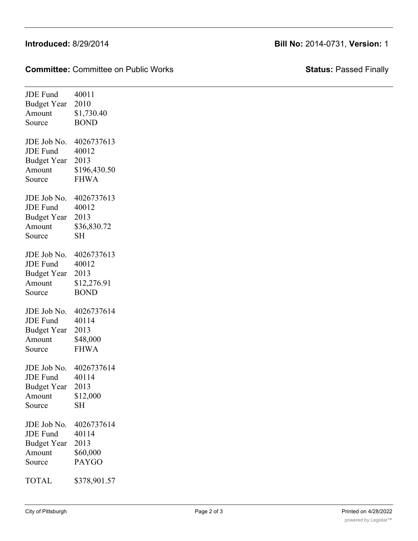# **Introduced:** 8/29/2014 **Bill No:** 2014-0731, **Version:** 1

**Committee:** Committee on Public Works **Status:** Passed Finally

| <b>JDE</b> Fund    | 40011        |
|--------------------|--------------|
| <b>Budget Year</b> | 2010         |
| Amount             | \$1,730.40   |
| Source             | <b>BOND</b>  |
| JDE Job No.        | 4026737613   |
| <b>JDE</b> Fund    | 40012        |
| <b>Budget Year</b> | 2013         |
| Amount             | \$196,430.50 |
| Source             | <b>FHWA</b>  |
| JDE Job No.        | 4026737613   |
| <b>JDE</b> Fund    | 40012        |
| <b>Budget Year</b> | 2013         |
| Amount             | \$36,830.72  |
| Source             | <b>SH</b>    |
| JDE Job No.        | 4026737613   |
| <b>JDE</b> Fund    | 40012        |
| <b>Budget Year</b> | 2013         |
| Amount             | \$12,276.91  |
| Source             | <b>BOND</b>  |
| JDE Job No.        | 4026737614   |
| <b>JDE</b> Fund    | 40114        |
| <b>Budget Year</b> | 2013         |
| Amount             | \$48,000     |
| Source             | <b>FHWA</b>  |
| JDE Job No.        | 4026737614   |
| <b>JDE</b> Fund    | 40114        |
| <b>Budget Year</b> | 2013         |
| Amount             | \$12,000     |
| Source             | SH           |
| JDE Job No.        | 4026737614   |
| JDE Fund           | 40114        |
| <b>Budget Year</b> | 2013         |
| Amount             | \$60,000     |
| Source             | <b>PAYGO</b> |
| TOTAL              | \$378,901.57 |